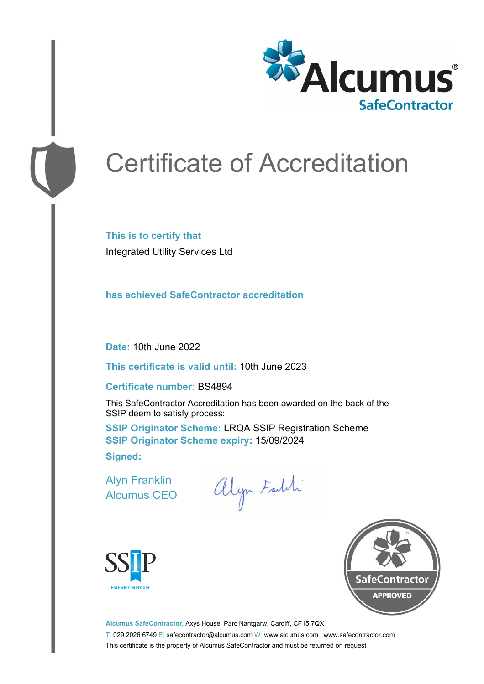

# Certificate of Accreditation

**This is to certify that** Integrated Utility Services Ltd

**has achieved SafeContractor accreditation**

**Date:** 10th June 2022

**This certificate is valid until:** 10th June 2023

#### **Certificate number:** BS4894

This SafeContractor Accreditation has been awarded on the back of the SSIP deem to satisfy process:

**SSIP Originator Scheme:** LRQA SSIP Registration Scheme **SSIP Originator Scheme expiry:** 15/09/2024 **Signed:**

Alyn Franklin Alcumus CEO

alyn Faldi





**Alcumus SafeContractor,** Axys House, Parc Nantgarw, Cardiff, CF15 7QX T: 029 2026 6749 E: safecontractor@alcumus.com W: www.alcumus.com | www.safecontractor.com This certificate is the property of Alcumus SafeContractor and must be returned on request